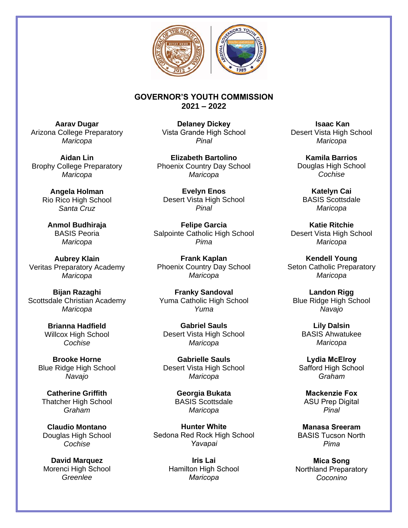

## **GOVERNOR'S YOUTH COMMISSION 2021 – 2022**

**Aarav Dugar**  Arizona College Preparatory *Maricopa* 

**Aidan Lin**  *Maricopa* 

> **Angela Holman**  Rio Rico High School *Santa Cruz*

**Anmol Budhiraja**  BASIS Peoria *Maricopa* 

**Aubrey Klain**  Veritas Preparatory Academy Phoenix Country Day School *Maricopa* 

**Bijan Razaghi**  Scottsdale Christian Academy Yuma Catholic High School *Maricopa* 

**Brianna Hadfield**  Willcox High School *Cochise* 

**Brooke Horne**  Blue Ridge High School *Navajo* 

**Catherine Griffith**  Thatcher High School *Graham* 

**Claudio Montano**  Douglas High School *Cochise* 

**David Marquez**  Morenci High School *Greenlee* 

**Delaney Dickey**  Vista Grande High School *Pinal* 

Brophy College Preparatory Phoenix Country Day School **Elizabeth Bartolino**  *Maricopa* 

> **Evelyn Enos**  Desert Vista High School *Pinal*

**Felipe Garcia**  Salpointe Catholic High School Desert Vista High School *Pima* 

**Frank Kaplan**  *Maricopa* 

**Franky Sandoval**  *Yuma* 

**Gabriel Sauls**  Desert Vista High School *Maricopa* 

> **Gabrielle Sauls**  Desert Vista High School *Maricopa*

> > **Georgia Bukata**  BASIS Scottsdale *Maricopa*

**Hunter White**  Sedona Red Rock High School *Yavapai* 

> **Iris Lai**  Hamilton High School *Maricopa*

**Isaac Kan**  Desert Vista High School *Maricopa* 

**Kamila Barrios**  Douglas High School *Cochise* 

**Katelyn Cai**  BASIS Scottsdale *Maricopa* 

**Katie Ritchie**  *Maricopa* 

**Kendell Young**  Seton Catholic Preparatory *Maricopa* 

**Landon Rigg**  Blue Ridge High School *Navajo* 

**Lily Dalsin**  BASIS Ahwatukee *Maricopa* 

**Lydia McElroy**  Safford High School *Graham* 

**Mackenzie Fox**  ASU Prep Digital *Pinal* 

**Manasa Sreeram**  BASIS Tucson North *Pima* 

**Mica Song**  Northland Preparatory *Coconino*